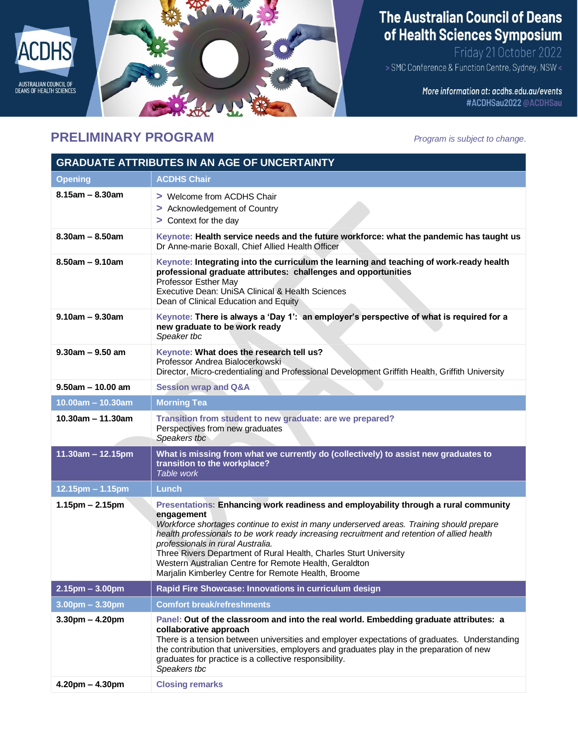

## **PRELIMINARY PROGRAM** *Program is subject to change*.

The Australian Council of Deans of Health Sciences Symposium

Friday 21 October 2022<br>> SMC Conference & Function Centre, Sydney, NSW

More information at: acdhs.edu.au/events #ACDHSau2022@ACDHSau

| <b>GRADUATE ATTRIBUTES IN AN AGE OF UNCERTAINTY</b> |                                                                                                                                                                                                                                                                                                                                                                                                                                                                                                                         |
|-----------------------------------------------------|-------------------------------------------------------------------------------------------------------------------------------------------------------------------------------------------------------------------------------------------------------------------------------------------------------------------------------------------------------------------------------------------------------------------------------------------------------------------------------------------------------------------------|
| <b>Opening</b>                                      | <b>ACDHS Chair</b>                                                                                                                                                                                                                                                                                                                                                                                                                                                                                                      |
| $8.15$ am - $8.30$ am                               | > Welcome from ACDHS Chair<br>> Acknowledgement of Country<br>> Context for the day                                                                                                                                                                                                                                                                                                                                                                                                                                     |
| $8.30$ am - $8.50$ am                               | Keynote: Health service needs and the future workforce: what the pandemic has taught us<br>Dr Anne-marie Boxall, Chief Allied Health Officer                                                                                                                                                                                                                                                                                                                                                                            |
| $8.50$ am - $9.10$ am                               | Keynote: Integrating into the curriculum the learning and teaching of work-ready health<br>professional graduate attributes: challenges and opportunities<br>Professor Esther May<br>Executive Dean: UniSA Clinical & Health Sciences<br>Dean of Clinical Education and Equity                                                                                                                                                                                                                                          |
| $9.10$ am - $9.30$ am                               | Keynote: There is always a 'Day 1': an employer's perspective of what is required for a<br>new graduate to be work ready<br>Speaker tbc                                                                                                                                                                                                                                                                                                                                                                                 |
| $9.30$ am - $9.50$ am                               | Keynote: What does the research tell us?<br>Professor Andrea Bialocerkowski<br>Director, Micro-credentialing and Professional Development Griffith Health, Griffith University                                                                                                                                                                                                                                                                                                                                          |
| $9.50$ am - 10.00 am                                | <b>Session wrap and Q&amp;A</b>                                                                                                                                                                                                                                                                                                                                                                                                                                                                                         |
| $10.00am - 10.30am$                                 | <b>Morning Tea</b>                                                                                                                                                                                                                                                                                                                                                                                                                                                                                                      |
| $10.30$ am - 11.30am                                | Transition from student to new graduate: are we prepared?<br>Perspectives from new graduates<br>Speakers tbc                                                                                                                                                                                                                                                                                                                                                                                                            |
| 11.30am - 12.15pm                                   | What is missing from what we currently do (collectively) to assist new graduates to<br>transition to the workplace?<br>Table work                                                                                                                                                                                                                                                                                                                                                                                       |
| $12.15$ pm – 1.15pm                                 | Lunch                                                                                                                                                                                                                                                                                                                                                                                                                                                                                                                   |
| $1.15$ pm – 2.15pm                                  | Presentations: Enhancing work readiness and employability through a rural community<br>engagement<br>Workforce shortages continue to exist in many underserved areas. Training should prepare<br>health professionals to be work ready increasing recruitment and retention of allied health<br>professionals in rural Australia.<br>Three Rivers Department of Rural Health, Charles Sturt University<br>Western Australian Centre for Remote Health, Geraldton<br>Marjalin Kimberley Centre for Remote Health, Broome |
| $2.15$ pm $- 3.00$ pm                               | Rapid Fire Showcase: Innovations in curriculum design                                                                                                                                                                                                                                                                                                                                                                                                                                                                   |
| $3.00$ pm $- 3.30$ pm                               | <b>Comfort break/refreshments</b>                                                                                                                                                                                                                                                                                                                                                                                                                                                                                       |
| $3.30pm - 4.20pm$                                   | Panel: Out of the classroom and into the real world. Embedding graduate attributes: a<br>collaborative approach<br>There is a tension between universities and employer expectations of graduates. Understanding<br>the contribution that universities, employers and graduates play in the preparation of new<br>graduates for practice is a collective responsibility.<br>Speakers tbc                                                                                                                                |
| $4.20$ pm $- 4.30$ pm                               | <b>Closing remarks</b>                                                                                                                                                                                                                                                                                                                                                                                                                                                                                                  |